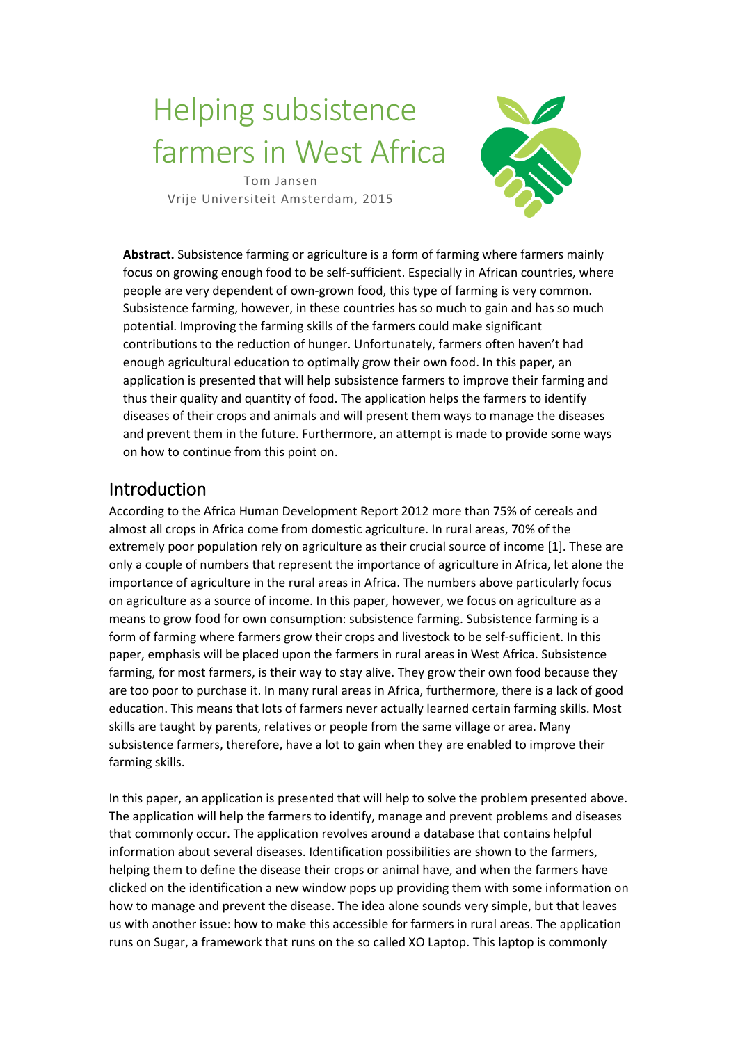# Helping subsistence farmers in West Africa

Tom Jansen Vrije Universiteit Amsterdam, 2015



**Abstract.** Subsistence farming or agriculture is a form of farming where farmers mainly focus on growing enough food to be self-sufficient. Especially in African countries, where people are very dependent of own-grown food, this type of farming is very common. Subsistence farming, however, in these countries has so much to gain and has so much potential. Improving the farming skills of the farmers could make significant contributions to the reduction of hunger. Unfortunately, farmers often haven't had enough agricultural education to optimally grow their own food. In this paper, an application is presented that will help subsistence farmers to improve their farming and thus their quality and quantity of food. The application helps the farmers to identify diseases of their crops and animals and will present them ways to manage the diseases and prevent them in the future. Furthermore, an attempt is made to provide some ways on how to continue from this point on.

## Introduction

According to the Africa Human Development Report 2012 more than 75% of cereals and almost all crops in Africa come from domestic agriculture. In rural areas, 70% of the extremely poor population rely on agriculture as their crucial source of income [1]. These are only a couple of numbers that represent the importance of agriculture in Africa, let alone the importance of agriculture in the rural areas in Africa. The numbers above particularly focus on agriculture as a source of income. In this paper, however, we focus on agriculture as a means to grow food for own consumption: subsistence farming. Subsistence farming is a form of farming where farmers grow their crops and livestock to be self-sufficient. In this paper, emphasis will be placed upon the farmers in rural areas in West Africa. Subsistence farming, for most farmers, is their way to stay alive. They grow their own food because they are too poor to purchase it. In many rural areas in Africa, furthermore, there is a lack of good education. This means that lots of farmers never actually learned certain farming skills. Most skills are taught by parents, relatives or people from the same village or area. Many subsistence farmers, therefore, have a lot to gain when they are enabled to improve their farming skills.

In this paper, an application is presented that will help to solve the problem presented above. The application will help the farmers to identify, manage and prevent problems and diseases that commonly occur. The application revolves around a database that contains helpful information about several diseases. Identification possibilities are shown to the farmers, helping them to define the disease their crops or animal have, and when the farmers have clicked on the identification a new window pops up providing them with some information on how to manage and prevent the disease. The idea alone sounds very simple, but that leaves us with another issue: how to make this accessible for farmers in rural areas. The application runs on Sugar, a framework that runs on the so called XO Laptop. This laptop is commonly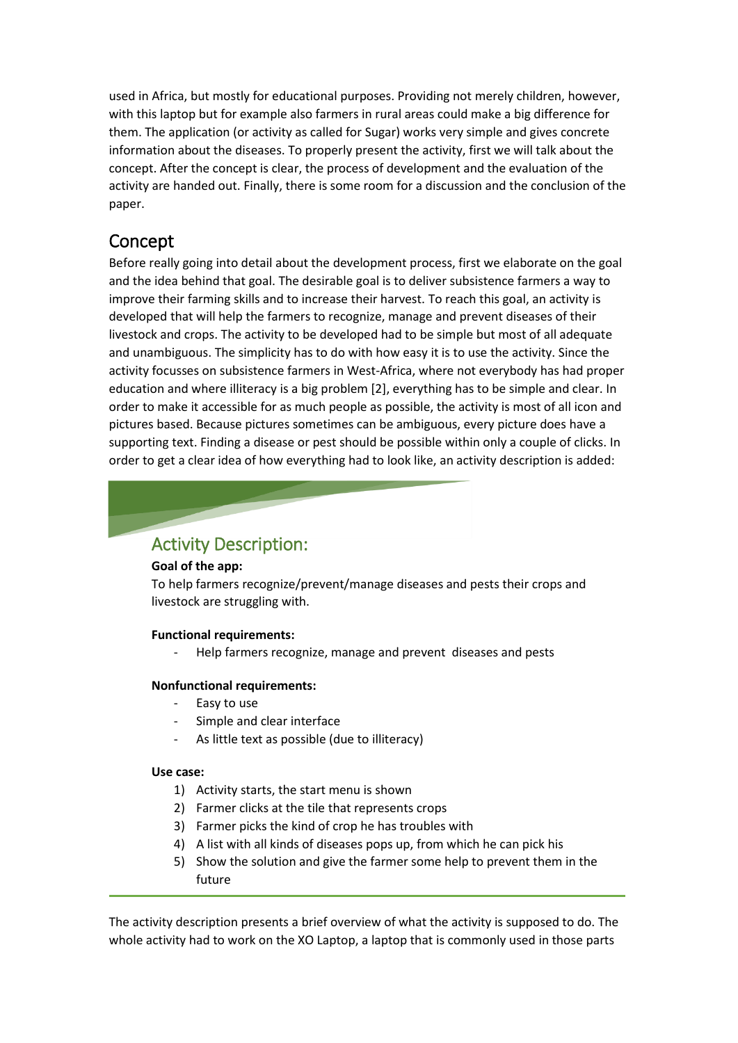used in Africa, but mostly for educational purposes. Providing not merely children, however, with this laptop but for example also farmers in rural areas could make a big difference for them. The application (or activity as called for Sugar) works very simple and gives concrete information about the diseases. To properly present the activity, first we will talk about the concept. After the concept is clear, the process of development and the evaluation of the activity are handed out. Finally, there is some room for a discussion and the conclusion of the paper.

## Concept

Before really going into detail about the development process, first we elaborate on the goal and the idea behind that goal. The desirable goal is to deliver subsistence farmers a way to improve their farming skills and to increase their harvest. To reach this goal, an activity is developed that will help the farmers to recognize, manage and prevent diseases of their livestock and crops. The activity to be developed had to be simple but most of all adequate and unambiguous. The simplicity has to do with how easy it is to use the activity. Since the activity focusses on subsistence farmers in West-Africa, where not everybody has had proper education and where illiteracy is a big problem [2], everything has to be simple and clear. In order to make it accessible for as much people as possible, the activity is most of all icon and pictures based. Because pictures sometimes can be ambiguous, every picture does have a supporting text. Finding a disease or pest should be possible within only a couple of clicks. In order to get a clear idea of how everything had to look like, an activity description is added:

## Activity Description:

#### **Goal of the app:**

To help farmers recognize/prevent/manage diseases and pests their crops and livestock are struggling with.

#### **Functional requirements:**

Help farmers recognize, manage and prevent diseases and pests

#### **Nonfunctional requirements:**

- Easy to use
- Simple and clear interface
- As little text as possible (due to illiteracy)

#### **Use case:**

- 1) Activity starts, the start menu is shown
- 2) Farmer clicks at the tile that represents crops
- 3) Farmer picks the kind of crop he has troubles with
- 4) A list with all kinds of diseases pops up, from which he can pick his
- 5) Show the solution and give the farmer some help to prevent them in the future

The activity description presents a brief overview of what the activity is supposed to do. The whole activity had to work on the XO Laptop, a laptop that is commonly used in those parts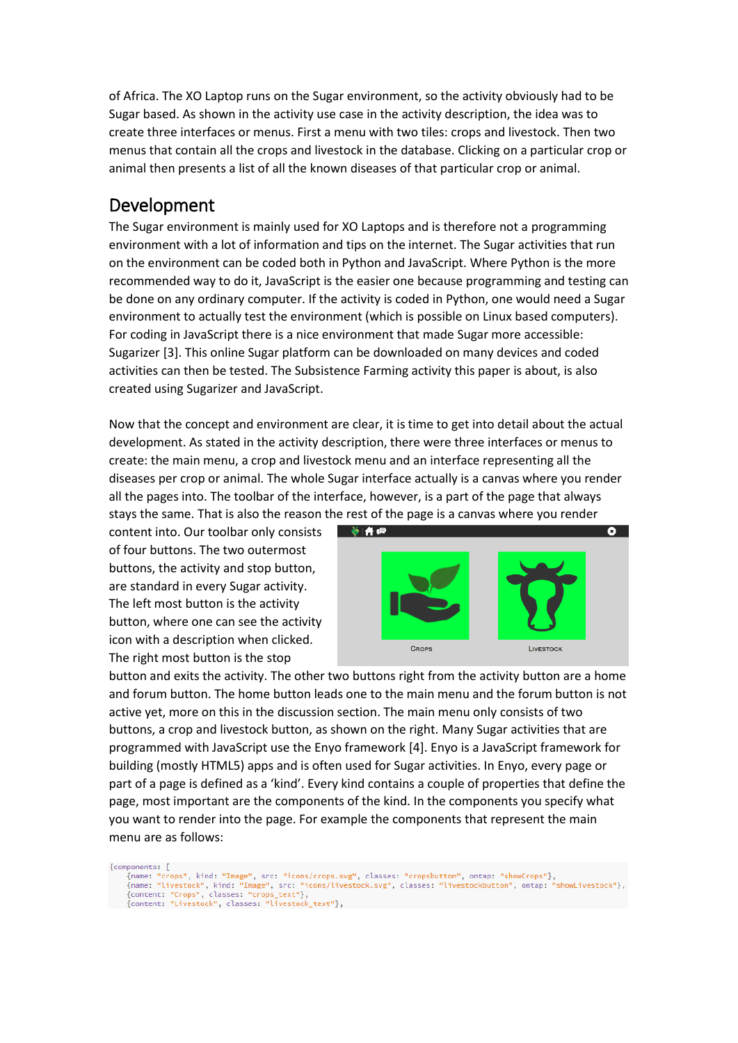of Africa. The XO Laptop runs on the Sugar environment, so the activity obviously had to be Sugar based. As shown in the activity use case in the activity description, the idea was to create three interfaces or menus. First a menu with two tiles: crops and livestock. Then two menus that contain all the crops and livestock in the database. Clicking on a particular crop or animal then presents a list of all the known diseases of that particular crop or animal.

### Development

The Sugar environment is mainly used for XO Laptops and is therefore not a programming environment with a lot of information and tips on the internet. The Sugar activities that run on the environment can be coded both in Python and JavaScript. Where Python is the more recommended way to do it, JavaScript is the easier one because programming and testing can be done on any ordinary computer. If the activity is coded in Python, one would need a Sugar environment to actually test the environment (which is possible on Linux based computers). For coding in JavaScript there is a nice environment that made Sugar more accessible: Sugarizer [3]. This online Sugar platform can be downloaded on many devices and coded activities can then be tested. The Subsistence Farming activity this paper is about, is also created using Sugarizer and JavaScript.

Now that the concept and environment are clear, it is time to get into detail about the actual development. As stated in the activity description, there were three interfaces or menus to create: the main menu, a crop and livestock menu and an interface representing all the diseases per crop or animal. The whole Sugar interface actually is a canvas where you render all the pages into. The toolbar of the interface, however, is a part of the page that always stays the same. That is also the reason the rest of the page is a canvas where you render

content into. Our toolbar only consists of four buttons. The two outermost buttons, the activity and stop button, are standard in every Sugar activity. The left most button is the activity button, where one can see the activity icon with a description when clicked. The right most button is the stop



button and exits the activity. The other two buttons right from the activity button are a home and forum button. The home button leads one to the main menu and the forum button is not active yet, more on this in the discussion section. The main menu only consists of two buttons, a crop and livestock button, as shown on the right. Many Sugar activities that are programmed with JavaScript use the Enyo framework [4]. Enyo is a JavaScript framework for building (mostly HTML5) apps and is often used for Sugar activities. In Enyo, every page or part of a page is defined as a 'kind'. Every kind contains a couple of properties that define the page, most important are the components of the kind. In the components you specify what you want to render into the page. For example the components that represent the main menu are as follows:

{components: [

mponents: [<br>{name: "crops", kind: "Image", src: "icons/crops.svg", classes: "cropsbutton", ontap: "showCrops"},<br>{name: "livestock", kind: "Image", src: "icons/livestock.svg", classes: "livestockbutton", ontap: "showLivesto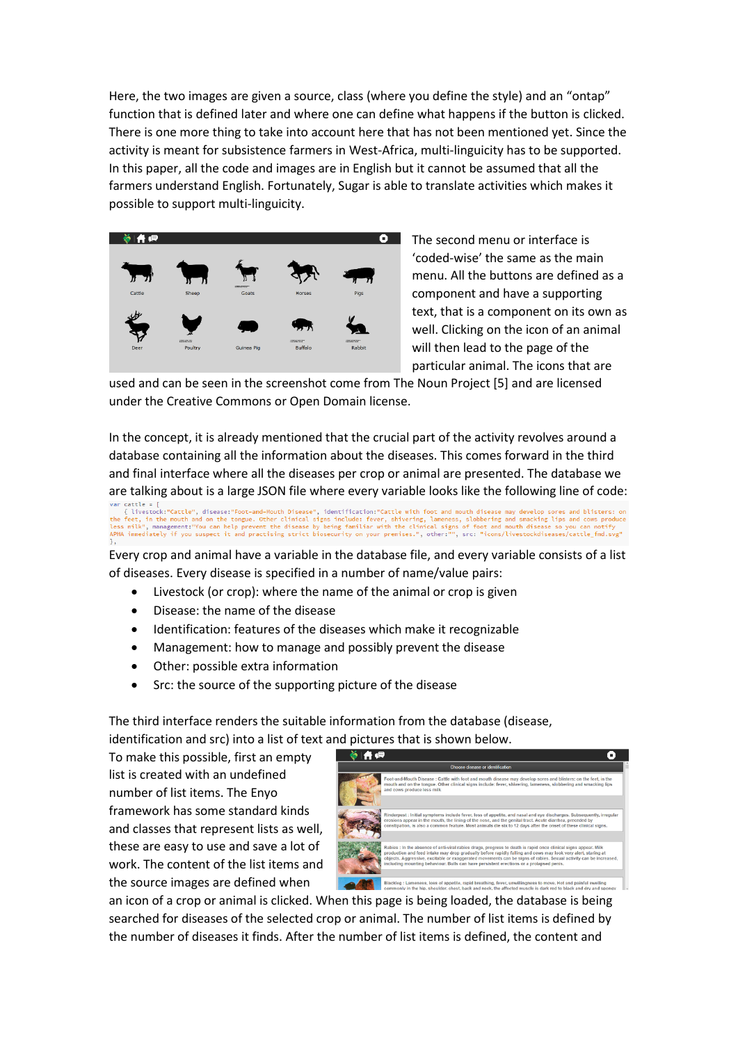Here, the two images are given a source, class (where you define the style) and an "ontap" function that is defined later and where one can define what happens if the button is clicked. There is one more thing to take into account here that has not been mentioned yet. Since the activity is meant for subsistence farmers in West-Africa, multi-linguicity has to be supported. In this paper, all the code and images are in English but it cannot be assumed that all the farmers understand English. Fortunately, Sugar is able to translate activities which makes it possible to support multi-linguicity.



The second menu or interface is 'coded-wise' the same as the main menu. All the buttons are defined as a component and have a supporting text, that is a component on its own as well. Clicking on the icon of an animal will then lead to the page of the particular animal. The icons that are

used and can be seen in the screenshot come from The Noun Project [5] and are licensed under the Creative Commons or Open Domain license.

In the concept, it is already mentioned that the crucial part of the activity revolves around a database containing all the information about the diseases. This comes forward in the third and final interface where all the diseases per crop or animal are presented. The database we

are talking about is a large JSON file where every variable looks like the following line of code:<br>var cattle = [<br>tivestock:"Cattle", disease:"Foot-and-Mouth Disease", identification:"Cattle with foot and mouth disease may

Every crop and animal have a variable in the database file, and every variable consists of a list of diseases. Every disease is specified in a number of name/value pairs:

- Livestock (or crop): where the name of the animal or crop is given
- Disease: the name of the disease
- Identification: features of the diseases which make it recognizable
- Management: how to manage and possibly prevent the disease
- Other: possible extra information
- Src: the source of the supporting picture of the disease

The third interface renders the suitable information from the database (disease, identification and src) into a list of text and pictures that is shown below.

To make this possible, first an empty list is created with an undefined number of list items. The Enyo framework has some standard kinds and classes that represent lists as well, these are easy to use and save a lot of work. The content of the list items and the source images are defined when



an icon of a crop or animal is clicked. When this page is being loaded, the database is being searched for diseases of the selected crop or animal. The number of list items is defined by the number of diseases it finds. After the number of list items is defined, the content and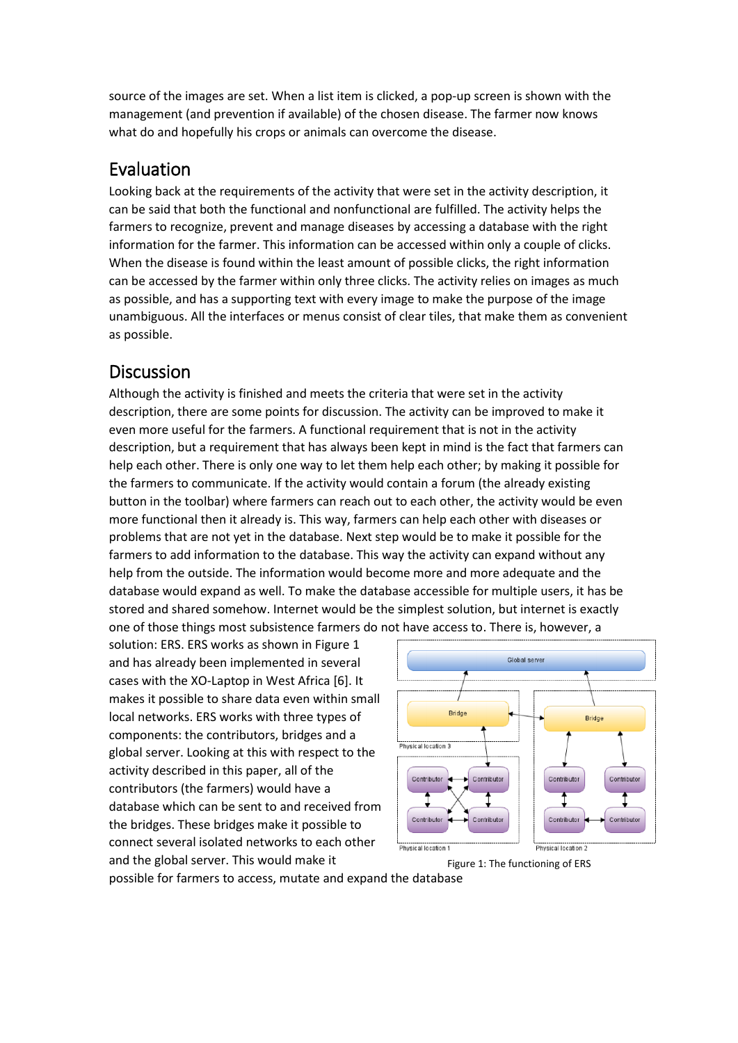source of the images are set. When a list item is clicked, a pop-up screen is shown with the management (and prevention if available) of the chosen disease. The farmer now knows what do and hopefully his crops or animals can overcome the disease.

## Evaluation

Looking back at the requirements of the activity that were set in the activity description, it can be said that both the functional and nonfunctional are fulfilled. The activity helps the farmers to recognize, prevent and manage diseases by accessing a database with the right information for the farmer. This information can be accessed within only a couple of clicks. When the disease is found within the least amount of possible clicks, the right information can be accessed by the farmer within only three clicks. The activity relies on images as much as possible, and has a supporting text with every image to make the purpose of the image unambiguous. All the interfaces or menus consist of clear tiles, that make them as convenient as possible.

## **Discussion**

Although the activity is finished and meets the criteria that were set in the activity description, there are some points for discussion. The activity can be improved to make it even more useful for the farmers. A functional requirement that is not in the activity description, but a requirement that has always been kept in mind is the fact that farmers can help each other. There is only one way to let them help each other; by making it possible for the farmers to communicate. If the activity would contain a forum (the already existing button in the toolbar) where farmers can reach out to each other, the activity would be even more functional then it already is. This way, farmers can help each other with diseases or problems that are not yet in the database. Next step would be to make it possible for the farmers to add information to the database. This way the activity can expand without any help from the outside. The information would become more and more adequate and the database would expand as well. To make the database accessible for multiple users, it has be stored and shared somehow. Internet would be the simplest solution, but internet is exactly one of those things most subsistence farmers do not have access to. There is, however, a

solution: ERS. ERS works as shown in Figure 1 and has already been implemented in several cases with the XO-Laptop in West Africa [6]. It makes it possible to share data even within small local networks. ERS works with three types of components: the contributors, bridges and a global server. Looking at this with respect to the activity described in this paper, all of the contributors (the farmers) would have a database which can be sent to and received from the bridges. These bridges make it possible to connect several isolated networks to each other and the global server. This would make it



Figure 1: The functioning of ERS

possible for farmers to access, mutate and expand the database